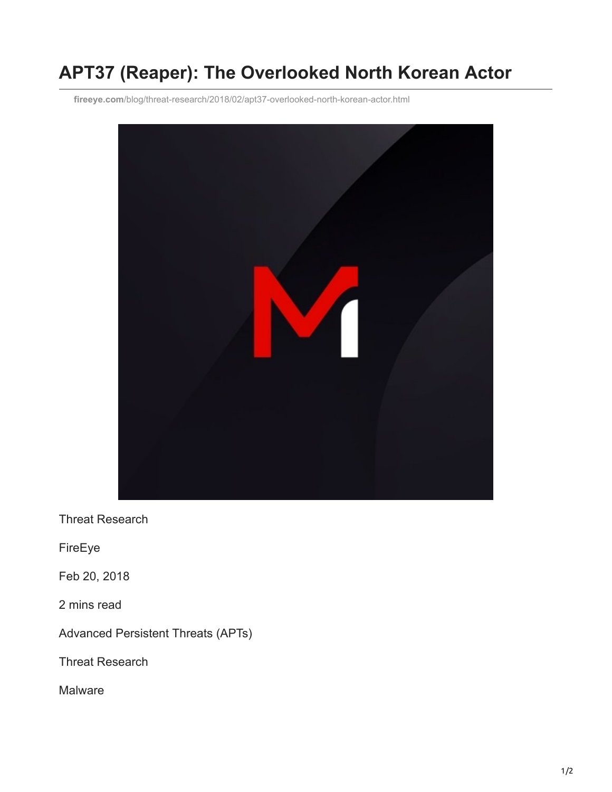## **APT37 (Reaper): The Overlooked North Korean Actor**

**fireeye.com**[/blog/threat-research/2018/02/apt37-overlooked-north-korean-actor.html](https://www.fireeye.com/blog/threat-research/2018/02/apt37-overlooked-north-korean-actor.html)



Threat Research

FireEye

Feb 20, 2018

2 mins read

Advanced Persistent Threats (APTs)

Threat Research

Malware